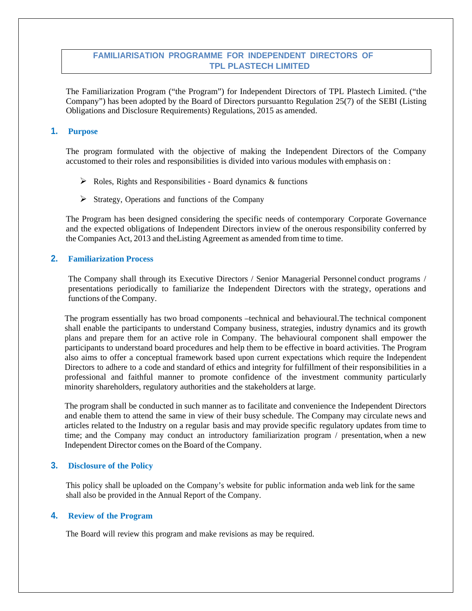# **FAMILIARISATION PROGRAMME FOR INDEPENDENT DIRECTORS OF TPL PLASTECH LIMITED**

The Familiarization Program ("the Program") for Independent Directors of TPL Plastech Limited. ("the Company") has been adopted by the Board of Directors pursuant to Regulation 25(7) of the SEBI (Listing Obligations and Disclosure Requirements) Regulations, 2015 as amended.

### **1. Purpose**

The program formulated with the objective of making the Independent Directors of the Company accustomed to their roles and responsibilities is divided into various modules with emphasis on :

- $\triangleright$  Roles, Rights and Responsibilities Board dynamics & functions
- $\triangleright$  Strategy, Operations and functions of the Company

The Program has been designed considering the specific needs of contemporary Corporate Governance and the expected obligations of Independent Directors in view of the onerous responsibility conferred by the Companies Act, 2013 and the Listing Agreement as amended from time to time.

## **2. Familiarization Process**

The Company shall through its Executive Directors / Senior Managerial Personnel conduct programs / presentations periodically to familiarize the Independent Directors with the strategy, operations and functions of the Company.

The program essentially has two broad components –technical and behavioural. The technical component shall enable the participants to understand Company business, strategies, industry dynamics and its growth plans and prepare them for an active role in Company. The behavioural component shall empower the participants to understand board procedures and help them to be effective in board activities. The Program also aims to offer a conceptual framework based upon current expectations which require the Independent Directors to adhere to a code and standard of ethics and integrity for fulfillment of their responsibilities in a professional and faithful manner to promote confidence of the investment community particularly minority shareholders, regulatory authorities and the stakeholders at large.

The program shall be conducted in such manner as to facilitate and convenience the Independent Directors and enable them to attend the same in view of their busy schedule. The Company may circulate news and articles related to the Industry on a regular basis and may provide specific regulatory updates from time to time; and the Company may conduct an introductory familiarization program / presentation, when a new Independent Director comes on the Board of the Company.

#### **3. Disclosure of the Policy**

This policy shall be uploaded on the Company's website for public information and a web link for the same shall also be provided in the Annual Report of the Company.

#### **4. Review of the Program**

The Board will review this program and make revisions as may be required.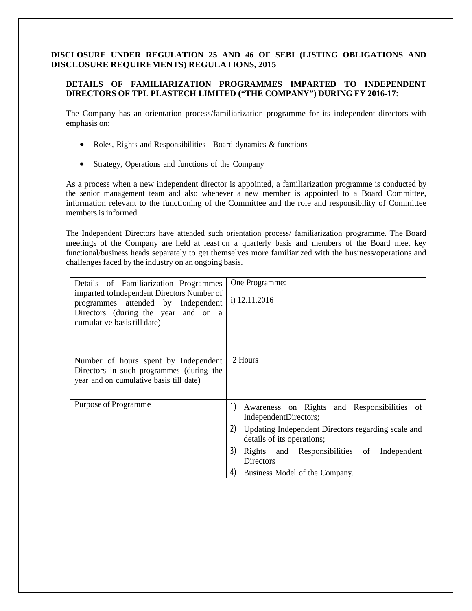# **DETAILS OF FAMILIARIZATION PROGRAMMES IMPARTED TO INDEPENDENT DIRECTORS OF TPL PLASTECH LIMITED ("THE COMPANY") DURING FY 2016-17**:

The Company has an orientation process/familiarization programme for its independent directors with emphasis on:

- Roles, Rights and Responsibilities Board dynamics & functions
- Strategy, Operations and functions of the Company

As a process when a new independent director is appointed, a familiarization programme is conducted by the senior management team and also whenever a new member is appointed to a Board Committee, information relevant to the functioning of the Committee and the role and responsibility of Committee members is informed.

The Independent Directors have attended such orientation process/ familiarization programme. The Board meetings of the Company are held at least on a quarterly basis and members of the Board meet key functional/business heads separately to get themselves more familiarized with the business/operations and challenges faced by the industry on an ongoing basis.

| Details of Familiarization Programmes<br>imparted to Independent Directors Number of<br>programmes attended by Independent<br>Directors (during the year and on a<br>cumulative basis till date) | One Programme:<br>i) 12.11.2016                                                                                                                                                                                                                                                                       |
|--------------------------------------------------------------------------------------------------------------------------------------------------------------------------------------------------|-------------------------------------------------------------------------------------------------------------------------------------------------------------------------------------------------------------------------------------------------------------------------------------------------------|
| Number of hours spent by Independent<br>Directors in such programmes (during the<br>year and on cumulative basis till date)                                                                      | 2 Hours                                                                                                                                                                                                                                                                                               |
| Purpose of Programme                                                                                                                                                                             | $\left  \right)$<br>Awareness on Rights and Responsibilities of<br>IndependentDirectors;<br>2)<br>Updating Independent Directors regarding scale and<br>details of its operations;<br>3)<br>Rights and Responsibilities of<br>Independent<br><b>Directors</b><br>4)<br>Business Model of the Company. |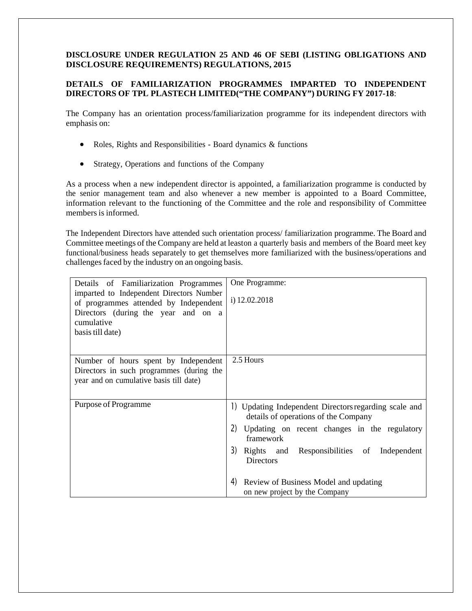# **DETAILS OF FAMILIARIZATION PROGRAMMES IMPARTED TO INDEPENDENT DIRECTORS OF TPL PLASTECH LIMITED("THE COMPANY") DURING FY 2017-18**:

The Company has an orientation process/familiarization programme for its independent directors with emphasis on:

- Roles, Rights and Responsibilities Board dynamics & functions
- Strategy, Operations and functions of the Company

As a process when a new independent director is appointed, a familiarization programme is conducted by the senior management team and also whenever a new member is appointed to a Board Committee, information relevant to the functioning of the Committee and the role and responsibility of Committee members is informed.

The Independent Directors have attended such orientation process/ familiarization programme. The Board and Committee meetings of the Company are held at leaston a quarterly basis and members of the Board meet key functional/business heads separately to get themselves more familiarized with the business/operations and challenges faced by the industry on an ongoing basis.

| Details of Familiarization Programmes<br>imparted to Independent Directors Number<br>of programmes attended by Independent<br>Directors (during the year and on a<br>cumulative<br>basis till date) | One Programme:<br>i) $12.02.2018$                                                                                                                                                                                                                                                                                        |
|-----------------------------------------------------------------------------------------------------------------------------------------------------------------------------------------------------|--------------------------------------------------------------------------------------------------------------------------------------------------------------------------------------------------------------------------------------------------------------------------------------------------------------------------|
| Number of hours spent by Independent<br>Directors in such programmes (during the<br>year and on cumulative basis till date)                                                                         | 2.5 Hours                                                                                                                                                                                                                                                                                                                |
| Purpose of Programme                                                                                                                                                                                | 1) Updating Independent Directors regarding scale and<br>details of operations of the Company<br>2)<br>Updating on recent changes in the regulatory<br>framework<br>3)<br>Rights and Responsibilities of Independent<br><b>Directors</b><br>4)<br>Review of Business Model and updating<br>on new project by the Company |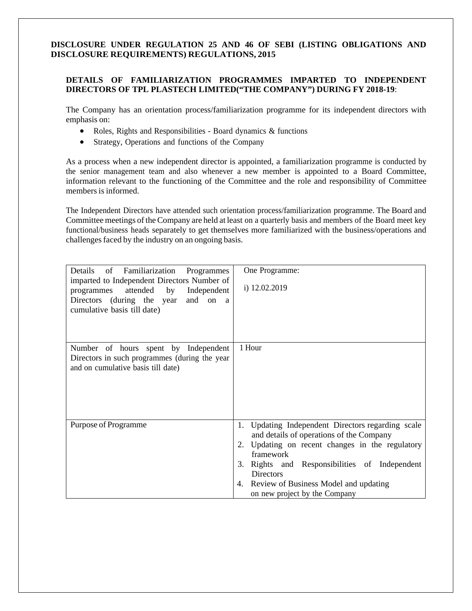# **DETAILS OF FAMILIARIZATION PROGRAMMES IMPARTED TO INDEPENDENT DIRECTORS OF TPL PLASTECH LIMITED("THE COMPANY") DURING FY 2018-19**:

The Company has an orientation process/familiarization programme for its independent directors with emphasis on:

- Roles, Rights and Responsibilities Board dynamics & functions
- Strategy, Operations and functions of the Company

As a process when a new independent director is appointed, a familiarization programme is conducted by the senior management team and also whenever a new member is appointed to a Board Committee, information relevant to the functioning of the Committee and the role and responsibility of Committee members is informed.

The Independent Directors have attended such orientation process/familiarization programme. The Board and Committee meetings of the Company are held at least on a quarterly basis and members of the Board meet key functional/business heads separately to get themselves more familiarized with the business/operations and challenges faced by the industry on an ongoing basis.

| Details<br>of Familiarization<br>Programmes<br>imparted to Independent Directors Number of<br>attended<br>by Independent<br>programmes<br>Directors (during the year<br>and on a<br>cumulative basis till date) | One Programme:<br>i) 12.02.2019                                                                                                                                                                                                                                                                                             |
|-----------------------------------------------------------------------------------------------------------------------------------------------------------------------------------------------------------------|-----------------------------------------------------------------------------------------------------------------------------------------------------------------------------------------------------------------------------------------------------------------------------------------------------------------------------|
| Number of hours spent by Independent<br>Directors in such programmes (during the year<br>and on cumulative basis till date)                                                                                     | 1 Hour                                                                                                                                                                                                                                                                                                                      |
| Purpose of Programme                                                                                                                                                                                            | Updating Independent Directors regarding scale<br>1.<br>and details of operations of the Company<br>Updating on recent changes in the regulatory<br>2.<br>framework<br>Rights and Responsibilities of Independent<br>3.<br><b>Directors</b><br>Review of Business Model and updating<br>4.<br>on new project by the Company |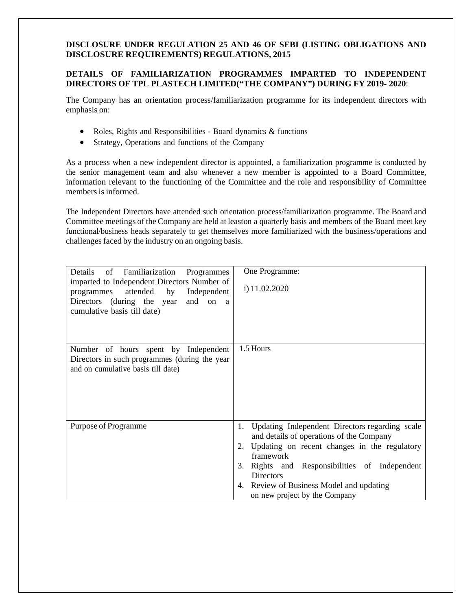### **DETAILS OF FAMILIARIZATION PROGRAMMES IMPARTED TO INDEPENDENT DIRECTORS OF TPL PLASTECH LIMITED("THE COMPANY") DURING FY 2019- 2020**:

The Company has an orientation process/familiarization programme for its independent directors with emphasis on:

- Roles, Rights and Responsibilities Board dynamics & functions
- Strategy, Operations and functions of the Company

As a process when a new independent director is appointed, a familiarization programme is conducted by the senior management team and also whenever a new member is appointed to a Board Committee, information relevant to the functioning of the Committee and the role and responsibility of Committee members is informed.

The Independent Directors have attended such orientation process/familiarization programme. The Board and Committee meetings of the Company are held at leaston a quarterly basis and members of the Board meet key functional/business heads separately to get themselves more familiarized with the business/operations and challenges faced by the industry on an ongoing basis.

| Details<br>of Familiarization<br>Programmes<br>imparted to Independent Directors Number of<br>by Independent<br>attended<br>programmes<br>Directors (during the year<br>and on a<br>cumulative basis till date) | One Programme:<br>i) 11.02.2020                                                                                                                                                                                                                                                                                          |
|-----------------------------------------------------------------------------------------------------------------------------------------------------------------------------------------------------------------|--------------------------------------------------------------------------------------------------------------------------------------------------------------------------------------------------------------------------------------------------------------------------------------------------------------------------|
| Number of hours spent by Independent<br>Directors in such programmes (during the year<br>and on cumulative basis till date)                                                                                     | 1.5 Hours                                                                                                                                                                                                                                                                                                                |
| Purpose of Programme                                                                                                                                                                                            | Updating Independent Directors regarding scale<br>1.<br>and details of operations of the Company<br>Updating on recent changes in the regulatory<br>2.<br>framework<br>Rights and Responsibilities of Independent<br>3.<br><b>Directors</b><br>4. Review of Business Model and updating<br>on new project by the Company |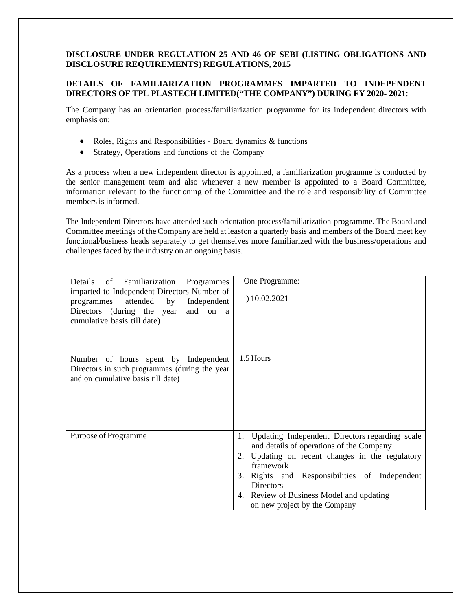# **DETAILS OF FAMILIARIZATION PROGRAMMES IMPARTED TO INDEPENDENT DIRECTORS OF TPL PLASTECH LIMITED("THE COMPANY") DURING FY 2020- 2021**:

The Company has an orientation process/familiarization programme for its independent directors with emphasis on:

- Roles, Rights and Responsibilities Board dynamics & functions
- Strategy, Operations and functions of the Company

As a process when a new independent director is appointed, a familiarization programme is conducted by the senior management team and also whenever a new member is appointed to a Board Committee, information relevant to the functioning of the Committee and the role and responsibility of Committee members is informed.

The Independent Directors have attended such orientation process/familiarization programme. The Board and Committee meetings of the Company are held at leaston a quarterly basis and members of the Board meet key functional/business heads separately to get themselves more familiarized with the business/operations and challenges faced by the industry on an ongoing basis.

| Details<br>of Familiarization<br>Programmes<br>imparted to Independent Directors Number of<br>attended<br>by Independent<br>programmes<br>Directors (during the year<br>and on a<br>cumulative basis till date) | One Programme:<br>i) 10.02.2021                                                                                                                                                                                                                                                                                       |
|-----------------------------------------------------------------------------------------------------------------------------------------------------------------------------------------------------------------|-----------------------------------------------------------------------------------------------------------------------------------------------------------------------------------------------------------------------------------------------------------------------------------------------------------------------|
| Number of hours spent by Independent<br>Directors in such programmes (during the year<br>and on cumulative basis till date)                                                                                     | 1.5 Hours                                                                                                                                                                                                                                                                                                             |
| Purpose of Programme                                                                                                                                                                                            | Updating Independent Directors regarding scale<br>1.<br>and details of operations of the Company<br>2. Updating on recent changes in the regulatory<br>framework<br>3. Rights and Responsibilities of Independent<br><b>Directors</b><br>Review of Business Model and updating<br>4.<br>on new project by the Company |